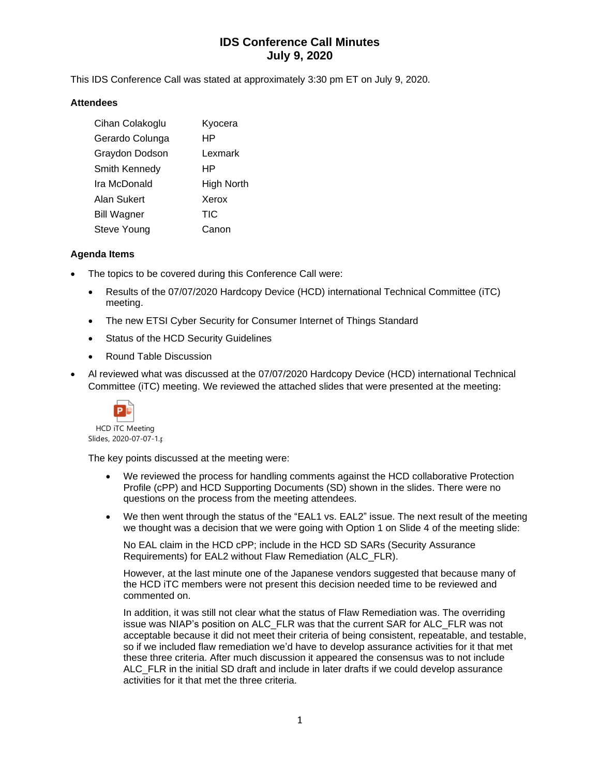# **IDS Conference Call Minutes July 9, 2020**

This IDS Conference Call was stated at approximately 3:30 pm ET on July 9, 2020.

### **Attendees**

| Cihan Colakoglu    | Kyocera    |
|--------------------|------------|
| Gerardo Colunga    | HP         |
| Graydon Dodson     | Lexmark    |
| Smith Kennedy      | HP         |
| Ira McDonald       | High North |
| Alan Sukert        | Xerox      |
| <b>Bill Wagner</b> | <b>TIC</b> |
| Steve Young        | Canon      |

### **Agenda Items**

- The topics to be covered during this Conference Call were:
	- Results of the 07/07/2020 Hardcopy Device (HCD) international Technical Committee (iTC) meeting.
	- The new ETSI Cyber Security for Consumer Internet of Things Standard
	- Status of the HCD Security Guidelines
	- Round Table Discussion
- Al reviewed what was discussed at the 07/07/2020 Hardcopy Device (HCD) international Technical Committee (iTC) meeting. We reviewed the attached slides that were presented at the meeting:



The key points discussed at the meeting were:

- We reviewed the process for handling comments against the HCD collaborative Protection Profile (cPP) and HCD Supporting Documents (SD) shown in the slides. There were no questions on the process from the meeting attendees.
- We then went through the status of the "EAL1 vs. EAL2" issue. The next result of the meeting we thought was a decision that we were going with Option 1 on Slide 4 of the meeting slide:

No EAL claim in the HCD cPP; include in the HCD SD SARs (Security Assurance Requirements) for EAL2 without Flaw Remediation (ALC\_FLR).

However, at the last minute one of the Japanese vendors suggested that because many of the HCD iTC members were not present this decision needed time to be reviewed and commented on.

In addition, it was still not clear what the status of Flaw Remediation was. The overriding issue was NIAP's position on ALC\_FLR was that the current SAR for ALC\_FLR was not acceptable because it did not meet their criteria of being consistent, repeatable, and testable, so if we included flaw remediation we'd have to develop assurance activities for it that met these three criteria. After much discussion it appeared the consensus was to not include ALC FLR in the initial SD draft and include in later drafts if we could develop assurance activities for it that met the three criteria.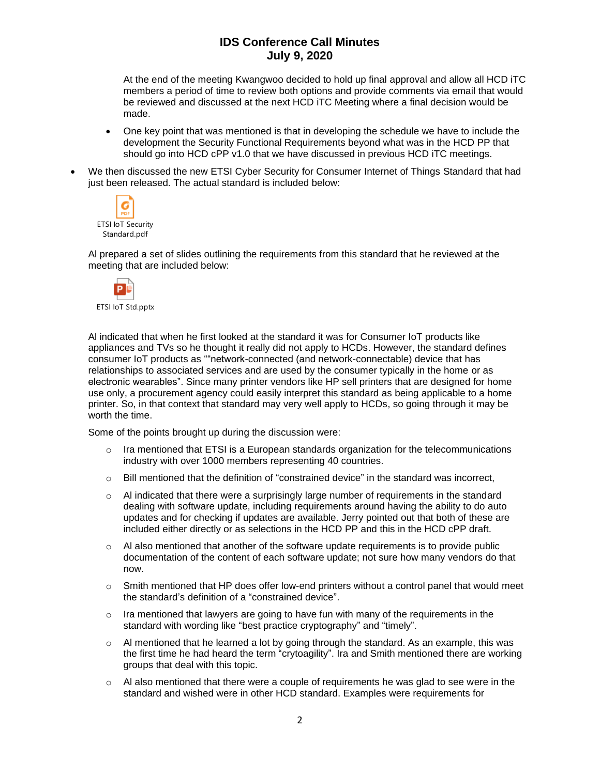## **IDS Conference Call Minutes July 9, 2020**

At the end of the meeting Kwangwoo decided to hold up final approval and allow all HCD iTC members a period of time to review both options and provide comments via email that would be reviewed and discussed at the next HCD iTC Meeting where a final decision would be made.

- One key point that was mentioned is that in developing the schedule we have to include the development the Security Functional Requirements beyond what was in the HCD PP that should go into HCD cPP v1.0 that we have discussed in previous HCD iTC meetings.
- We then discussed the new ETSI Cyber Security for Consumer Internet of Things Standard that had just been released. The actual standard is included below:



Al prepared a set of slides outlining the requirements from this standard that he reviewed at the meeting that are included below:



Al indicated that when he first looked at the standard it was for Consumer IoT products like appliances and TVs so he thought it really did not apply to HCDs. However, the standard defines consumer IoT products as ""network-connected (and network-connectable) device that has relationships to associated services and are used by the consumer typically in the home or as electronic wearables". Since many printer vendors like HP sell printers that are designed for home use only, a procurement agency could easily interpret this standard as being applicable to a home printer. So, in that context that standard may very well apply to HCDs, so going through it may be worth the time.

Some of the points brought up during the discussion were:

- $\circ$  Ira mentioned that ETSI is a European standards organization for the telecommunications industry with over 1000 members representing 40 countries.
- $\circ$  Bill mentioned that the definition of "constrained device" in the standard was incorrect,
- $\circ$  Al indicated that there were a surprisingly large number of requirements in the standard dealing with software update, including requirements around having the ability to do auto updates and for checking if updates are available. Jerry pointed out that both of these are included either directly or as selections in the HCD PP and this in the HCD cPP draft.
- $\circ$  Al also mentioned that another of the software update requirements is to provide public documentation of the content of each software update; not sure how many vendors do that now.
- $\circ$  Smith mentioned that HP does offer low-end printers without a control panel that would meet the standard's definition of a "constrained device".
- $\circ$  Ira mentioned that lawyers are going to have fun with many of the requirements in the standard with wording like "best practice cryptography" and "timely".
- $\circ$  Al mentioned that he learned a lot by going through the standard. As an example, this was the first time he had heard the term "crytoagility". Ira and Smith mentioned there are working groups that deal with this topic.
- $\circ$  Al also mentioned that there were a couple of requirements he was glad to see were in the standard and wished were in other HCD standard. Examples were requirements for